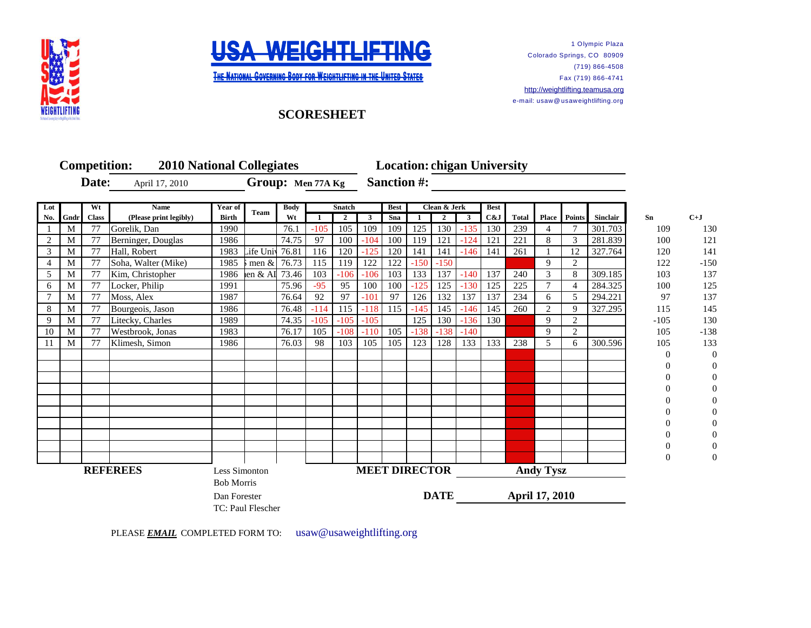



**THE NATIONAL GOVERNING BODY FOR WEIGHTLIFTING IN THE UNITED STATES** 

1 Olympic Plaza Colorado Springs, CO 80909 (719) 866-4508 Fax (719) 866-4741 [http://](http://weightlifting.teamusa.org/)weightlifting.teamusa.org e-mail: usaw@ usaweightlifting.org

## **SCORESHEET**

|                 |      |              | <b>Competition:</b>    | <b>2010 National Collegiates</b> |           |       |                              |                |        | <b>Location: chigan University</b>       |        |              |              |                       |              |                     |                           |          |          |                |
|-----------------|------|--------------|------------------------|----------------------------------|-----------|-------|------------------------------|----------------|--------|------------------------------------------|--------|--------------|--------------|-----------------------|--------------|---------------------|---------------------------|----------|----------|----------------|
| Date:           |      |              | April 17, 2010         | Group: Men 77A Kg                |           |       |                              |                |        | <b>Sanction #:</b>                       |        |              |              |                       |              |                     |                           |          |          |                |
| Wt<br>Lot       |      |              | <b>Name</b>            | Year of                          |           |       | <b>Body</b><br><b>Snatch</b> |                |        | <b>Best</b><br>Clean & Jerk              |        |              |              | <b>Best</b>           |              |                     |                           |          |          |                |
| No.             | Gndr | <b>Class</b> | (Please print legibly) | <b>Birth</b>                     | Team      | Wt    |                              | $\overline{2}$ | 3      | Sna                                      |        | $\mathbf{2}$ | $\mathbf{3}$ | C&J                   | <b>Total</b> | <b>Place</b> Points |                           | Sinclair | Sn       | $C+J$          |
|                 | M    | 77           | Gorelik, Dan           | 1990                             |           | 76.1  | $-105$                       | 105            | 109    | 109                                      | 125    | 130          | $-135$       | 130                   | 239          | 4                   |                           | 301.703  | 109      | 130            |
| 2               | М    | 77           | Berninger, Douglas     | 1986                             |           | 74.75 | 97                           | 100            | $-104$ | 100                                      | 119    | 121          | $-124$       | 121                   | 221          | 8                   | 3                         | 281.839  | 100      | 121            |
| 3               | М    | 77           | Hall, Robert           | 1983                             | Life Univ | 76.81 | 116                          | 120            | $-125$ | 120                                      | 141    | 141          | $-146$       | 141                   | 261          |                     | 12                        | 327.764  | 120      | 141            |
| 4               | M    | 77           | Soha, Walter (Mike)    | 1985                             | men $\&$  | 76.73 | 115                          | 119            | 122    | 122                                      | $-150$ | $-150$       |              |                       |              | 9                   | 2                         |          | 122      | $-150$         |
| 5               | M    | 77           | Kim, Christopher       | 1986                             | en & AI   | 73.46 | 103                          | $-106$         | $-106$ | 103                                      | 133    | 137          | $-140$       | 137                   | 240          | 3                   | 8                         | 309.185  | 103      | 137            |
| 6               | M    | 77           | Locker, Philip         | 1991                             |           | 75.96 | $-95$                        | 95             | 100    | 100                                      | $-125$ | 125          | $-130$       | 125                   | 225          | $\overline{7}$      | $\boldsymbol{\varLambda}$ | 284.325  | 100      | 125            |
| 7               | М    | 77           | Moss, Alex             | 1987                             |           | 76.64 | 92                           | 97             | $-101$ | 97                                       | 126    | 132          | 137          | 137                   | 234          | 6                   | 5                         | 294.221  | 97       | 137            |
| 8               | M    | 77           | Bourgeois, Jason       | 1986                             |           | 76.48 | $-114$                       | 115            | $-118$ | 115                                      | $-145$ | 145          | $-146$       | 145                   | 260          | 2                   | 9                         | 327.295  | 115      | 145            |
| 9               | M    | 77           | Litecky, Charles       | 1989                             |           | 74.35 | $-105$                       | $-105$         | $-105$ |                                          | 125    | 130          | $-136$       | 130                   |              | 9                   | 2                         |          | $-105$   | 130            |
| 10              | M    | 77           | Westbrook, Jonas       | 1983                             |           | 76.17 | 105                          | $-108$         | $-110$ | 105                                      | $-138$ | $-138$       | $-140$       |                       |              | 9                   | 2                         |          | 105      | $-138$         |
| 11              | М    | 77           | Klimesh, Simon         | 1986                             |           | 76.03 | 98                           | 103            | 105    | 105                                      | 123    | 128          | 133          | 133                   | 238          | 5                   | 6                         | 300.596  | 105      | 133            |
|                 |      |              |                        |                                  |           |       |                              |                |        |                                          |        |              |              |                       |              |                     |                           |          | $\Omega$ | $\overline{0}$ |
|                 |      |              |                        |                                  |           |       |                              |                |        |                                          |        |              |              |                       |              |                     |                           |          |          |                |
|                 |      |              |                        |                                  |           |       |                              |                |        |                                          |        |              |              |                       |              |                     |                           |          |          |                |
|                 |      |              |                        |                                  |           |       |                              |                |        |                                          |        |              |              |                       |              |                     |                           |          |          |                |
|                 |      |              |                        |                                  |           |       |                              |                |        |                                          |        |              |              |                       |              |                     |                           |          |          |                |
|                 |      |              |                        |                                  |           |       |                              |                |        |                                          |        |              |              |                       |              |                     |                           |          |          |                |
|                 |      |              |                        |                                  |           |       |                              |                |        |                                          |        |              |              |                       |              |                     |                           |          |          |                |
|                 |      |              |                        |                                  |           |       |                              |                |        |                                          |        |              |              |                       |              |                     |                           |          |          |                |
|                 |      |              |                        |                                  |           |       |                              |                |        |                                          |        |              |              |                       |              |                     |                           |          |          |                |
|                 |      |              |                        |                                  |           |       |                              |                |        |                                          |        |              |              |                       |              |                     |                           |          | $\Omega$ |                |
| <b>REFEREES</b> |      |              |                        | Less Simonton                    |           |       |                              |                |        | <b>MEET DIRECTOR</b><br><b>Andy Tysz</b> |        |              |              |                       |              |                     |                           |          |          |                |
|                 |      |              |                        | <b>Bob Morris</b>                |           |       |                              |                |        |                                          |        |              |              |                       |              |                     |                           |          |          |                |
|                 |      |              |                        | Dan Forester                     |           |       |                              |                |        | <b>DATE</b>                              |        |              |              | <b>April 17, 2010</b> |              |                     |                           |          |          |                |
|                 |      |              |                        | TC: Paul Flescher                |           |       |                              |                |        |                                          |        |              |              |                       |              |                     |                           |          |          |                |

PLEASE **EMAIL** COMPLETED FORM TO: usaw@usaweightlifting.org